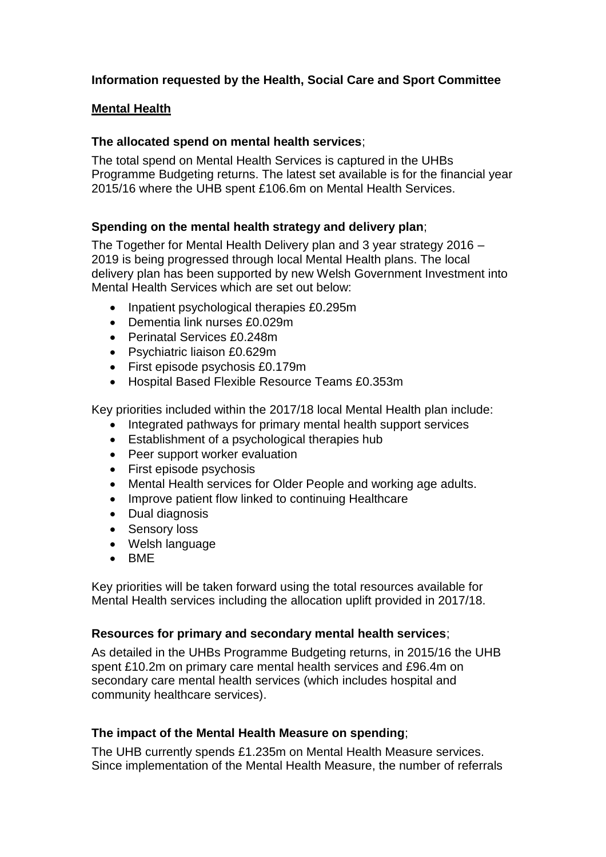# **Information requested by the Health, Social Care and Sport Committee**

#### **Mental Health**

#### **The allocated spend on mental health services**;

The total spend on Mental Health Services is captured in the UHBs Programme Budgeting returns. The latest set available is for the financial year 2015/16 where the UHB spent £106.6m on Mental Health Services.

#### **Spending on the mental health strategy and delivery plan**;

The Together for Mental Health Delivery plan and 3 year strategy 2016 – 2019 is being progressed through local Mental Health plans. The local delivery plan has been supported by new Welsh Government Investment into Mental Health Services which are set out below:

- Inpatient psychological therapies £0.295m
- Dementia link nurses £0.029m
- Perinatal Services £0.248m
- Psychiatric liaison £0.629m
- First episode psychosis £0.179m
- Hospital Based Flexible Resource Teams £0.353m

Key priorities included within the 2017/18 local Mental Health plan include:

- Integrated pathways for primary mental health support services
- Establishment of a psychological therapies hub
- Peer support worker evaluation
- First episode psychosis
- Mental Health services for Older People and working age adults.
- Improve patient flow linked to continuing Healthcare
- Dual diagnosis
- Sensory loss
- Welsh language
- $\bullet$  BME

Key priorities will be taken forward using the total resources available for Mental Health services including the allocation uplift provided in 2017/18.

#### **Resources for primary and secondary mental health services**;

As detailed in the UHBs Programme Budgeting returns, in 2015/16 the UHB spent £10.2m on primary care mental health services and £96.4m on secondary care mental health services (which includes hospital and community healthcare services).

#### **The impact of the Mental Health Measure on spending**;

The UHB currently spends £1.235m on Mental Health Measure services. Since implementation of the Mental Health Measure, the number of referrals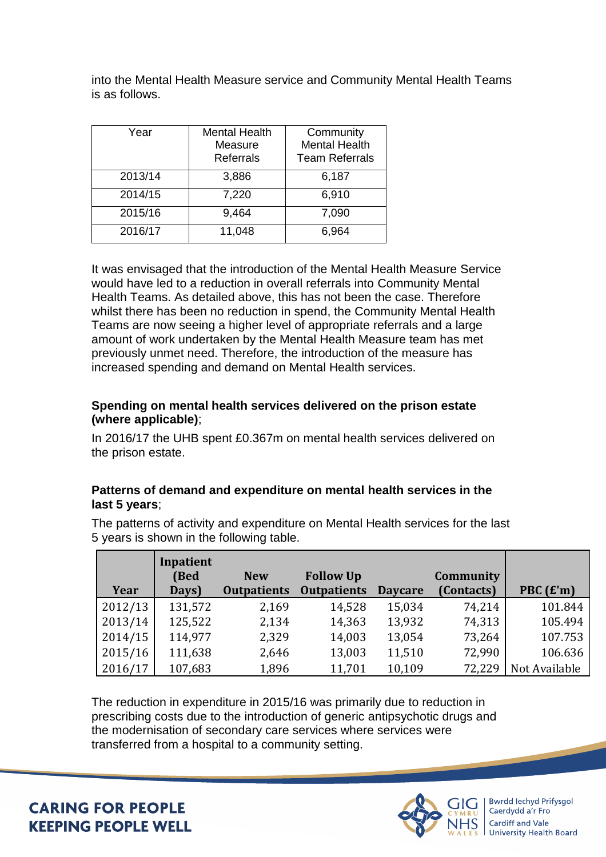into the Mental Health Measure service and Community Mental Health Teams is as follows.

| Year    | <b>Mental Health</b> | Community             |
|---------|----------------------|-----------------------|
|         | Measure              | <b>Mental Health</b>  |
|         | Referrals            | <b>Team Referrals</b> |
| 2013/14 | 3,886                | 6,187                 |
| 2014/15 | 7,220                | 6,910                 |
| 2015/16 | 9,464                | 7,090                 |
| 2016/17 | 11,048               | 6,964                 |

It was envisaged that the introduction of the Mental Health Measure Service would have led to a reduction in overall referrals into Community Mental Health Teams. As detailed above, this has not been the case. Therefore whilst there has been no reduction in spend, the Community Mental Health Teams are now seeing a higher level of appropriate referrals and a large amount of work undertaken by the Mental Health Measure team has met previously unmet need. Therefore, the introduction of the measure has increased spending and demand on Mental Health services.

#### **Spending on mental health services delivered on the prison estate (where applicable)**;

In 2016/17 the UHB spent £0.367m on mental health services delivered on the prison estate.

## **Patterns of demand and expenditure on mental health services in the last 5 years**;

| Year    | Inpatient<br>(Bed<br>Days) | <b>New</b><br><b>Outpatients</b> | <b>Follow Up</b><br><b>Outpatients</b> | <b>Daycare</b> | Community<br>(Contacts) | PBC $(f'm)$   |
|---------|----------------------------|----------------------------------|----------------------------------------|----------------|-------------------------|---------------|
| 2012/13 | 131,572                    | 2,169                            | 14,528                                 | 15,034         | 74,214                  | 101.844       |
| 2013/14 | 125,522                    | 2,134                            | 14,363                                 | 13,932         | 74,313                  | 105.494       |
| 2014/15 | 114,977                    | 2,329                            | 14,003                                 | 13,054         | 73,264                  | 107.753       |
| 2015/16 | 111,638                    | 2,646                            | 13,003                                 | 11,510         | 72,990                  | 106.636       |
| 2016/17 | 107,683                    | 1,896                            | 11,701                                 | 10,109         | 72,229                  | Not Available |

The patterns of activity and expenditure on Mental Health services for the last 5 years is shown in the following table.

The reduction in expenditure in 2015/16 was primarily due to reduction in prescribing costs due to the introduction of generic antipsychotic drugs and the modernisation of secondary care services where services were transferred from a hospital to a community setting.

**CARING FOR PEOPLE KEEPING PEOPLE WELL** 



Bwrdd Iechyd Prifysgol Caerdydd a'r Fro Cardiff and Vale **University Health Board**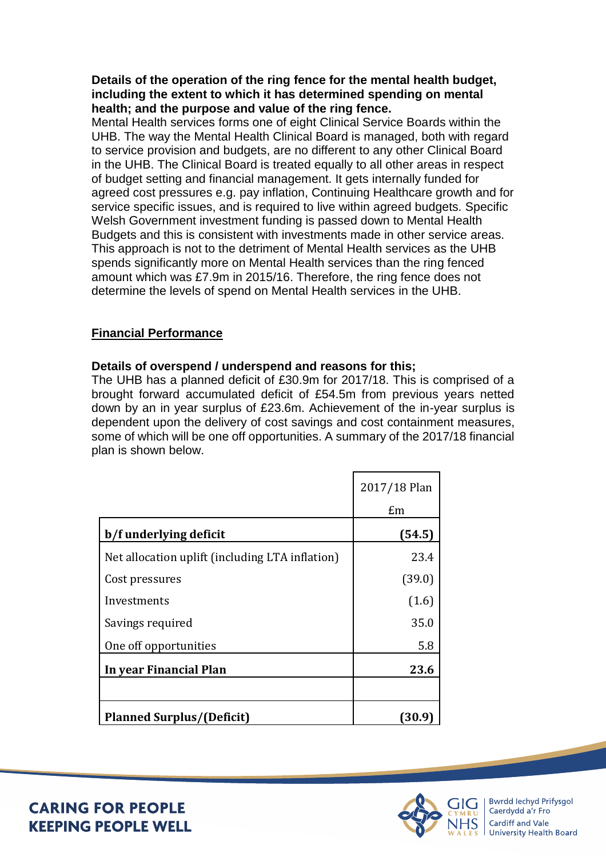**Details of the operation of the ring fence for the mental health budget, including the extent to which it has determined spending on mental health; and the purpose and value of the ring fence.** 

Mental Health services forms one of eight Clinical Service Boards within the UHB. The way the Mental Health Clinical Board is managed, both with regard to service provision and budgets, are no different to any other Clinical Board in the UHB. The Clinical Board is treated equally to all other areas in respect of budget setting and financial management. It gets internally funded for agreed cost pressures e.g. pay inflation, Continuing Healthcare growth and for service specific issues, and is required to live within agreed budgets. Specific Welsh Government investment funding is passed down to Mental Health Budgets and this is consistent with investments made in other service areas. This approach is not to the detriment of Mental Health services as the UHB spends significantly more on Mental Health services than the ring fenced amount which was £7.9m in 2015/16. Therefore, the ring fence does not determine the levels of spend on Mental Health services in the UHB.

# **Financial Performance**

## **Details of overspend / underspend and reasons for this;**

The UHB has a planned deficit of £30.9m for 2017/18. This is comprised of a brought forward accumulated deficit of £54.5m from previous years netted down by an in year surplus of £23.6m. Achievement of the in-year surplus is dependent upon the delivery of cost savings and cost containment measures, some of which will be one off opportunities. A summary of the 2017/18 financial plan is shown below.

|                                                 | 2017/18 Plan<br>Em |
|-------------------------------------------------|--------------------|
| b/f underlying deficit                          | (54.5)             |
| Net allocation uplift (including LTA inflation) | 23.4               |
| Cost pressures                                  | (39.0)             |
| Investments                                     | (1.6)              |
| Savings required                                | 35.0               |
| One off opportunities                           | 5.8                |
| In year Financial Plan                          | 23.6               |
|                                                 |                    |
| <b>Planned Surplus/(Deficit)</b>                | 130.               |



**CARING FOR PEOPLE KEEPING PEOPLE WELL**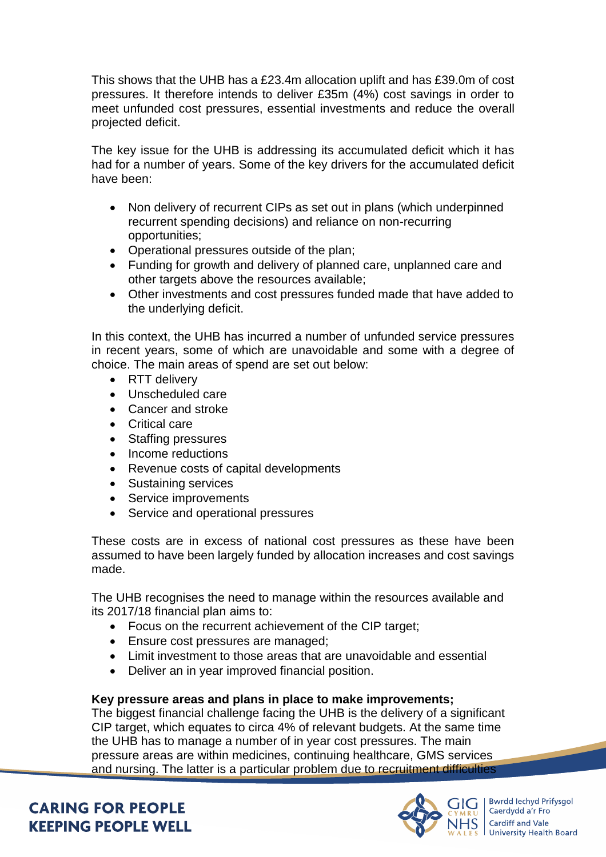This shows that the UHB has a £23.4m allocation uplift and has £39.0m of cost pressures. It therefore intends to deliver £35m (4%) cost savings in order to meet unfunded cost pressures, essential investments and reduce the overall projected deficit.

The key issue for the UHB is addressing its accumulated deficit which it has had for a number of years. Some of the key drivers for the accumulated deficit have been:

- Non delivery of recurrent CIPs as set out in plans (which underpinned recurrent spending decisions) and reliance on non-recurring opportunities;
- Operational pressures outside of the plan;
- Funding for growth and delivery of planned care, unplanned care and other targets above the resources available;
- Other investments and cost pressures funded made that have added to the underlying deficit.

In this context, the UHB has incurred a number of unfunded service pressures in recent years, some of which are unavoidable and some with a degree of choice. The main areas of spend are set out below:

- RTT delivery
- Unscheduled care
- Cancer and stroke
- Critical care
- Staffing pressures
- Income reductions
- Revenue costs of capital developments
- Sustaining services
- Service improvements
- Service and operational pressures

These costs are in excess of national cost pressures as these have been assumed to have been largely funded by allocation increases and cost savings made.

The UHB recognises the need to manage within the resources available and its 2017/18 financial plan aims to:

- Focus on the recurrent achievement of the CIP target;
- Ensure cost pressures are managed;
- Limit investment to those areas that are unavoidable and essential
- Deliver an in year improved financial position.

#### **Key pressure areas and plans in place to make improvements;**

The biggest financial challenge facing the UHB is the delivery of a significant CIP target, which equates to circa 4% of relevant budgets. At the same time the UHB has to manage a number of in year cost pressures. The main pressure areas are within medicines, continuing healthcare, GMS services and nursing. The latter is a particular problem due to recruitment difficulties

**CARING FOR PEOPLE KEEPING PEOPLE WELL** 



**Bwrdd lechyd Prifysgol** Caerdydd a'r Fro Cardiff and Vale **University Health Board**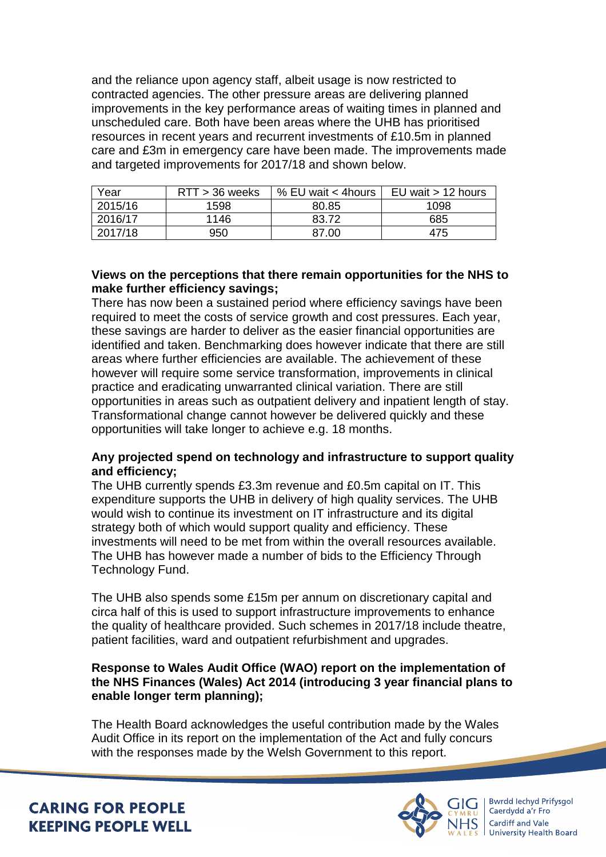and the reliance upon agency staff, albeit usage is now restricted to contracted agencies. The other pressure areas are delivering planned improvements in the key performance areas of waiting times in planned and unscheduled care. Both have been areas where the UHB has prioritised resources in recent years and recurrent investments of £10.5m in planned care and £3m in emergency care have been made. The improvements made and targeted improvements for 2017/18 and shown below.

| Year    | $RTT > 36$ weeks | % EU wait < 4hours | EU wait $> 12$ hours |
|---------|------------------|--------------------|----------------------|
| 2015/16 | 1598             | 80.85              | 1098                 |
| 2016/17 | 1146             | 83.72              | 685                  |
| 2017/18 | 950              | 87.00              | 475                  |

## **Views on the perceptions that there remain opportunities for the NHS to make further efficiency savings;**

There has now been a sustained period where efficiency savings have been required to meet the costs of service growth and cost pressures. Each year, these savings are harder to deliver as the easier financial opportunities are identified and taken. Benchmarking does however indicate that there are still areas where further efficiencies are available. The achievement of these however will require some service transformation, improvements in clinical practice and eradicating unwarranted clinical variation. There are still opportunities in areas such as outpatient delivery and inpatient length of stay. Transformational change cannot however be delivered quickly and these opportunities will take longer to achieve e.g. 18 months.

# **Any projected spend on technology and infrastructure to support quality and efficiency;**

The UHB currently spends £3.3m revenue and £0.5m capital on IT. This expenditure supports the UHB in delivery of high quality services. The UHB would wish to continue its investment on IT infrastructure and its digital strategy both of which would support quality and efficiency. These investments will need to be met from within the overall resources available. The UHB has however made a number of bids to the Efficiency Through Technology Fund.

The UHB also spends some £15m per annum on discretionary capital and circa half of this is used to support infrastructure improvements to enhance the quality of healthcare provided. Such schemes in 2017/18 include theatre, patient facilities, ward and outpatient refurbishment and upgrades.

## **Response to Wales Audit Office (WAO) report on the implementation of the NHS Finances (Wales) Act 2014 (introducing 3 year financial plans to enable longer term planning);**

The Health Board acknowledges the useful contribution made by the Wales Audit Office in its report on the implementation of the Act and fully concurs with the responses made by the Welsh Government to this report.

Bwrdd Iechyd Prifysgol Caerdydd a'r Fro Cardiff and Vale **University Health Board** 

**CARING FOR PEOPLE KEEPING PEOPLE WELL**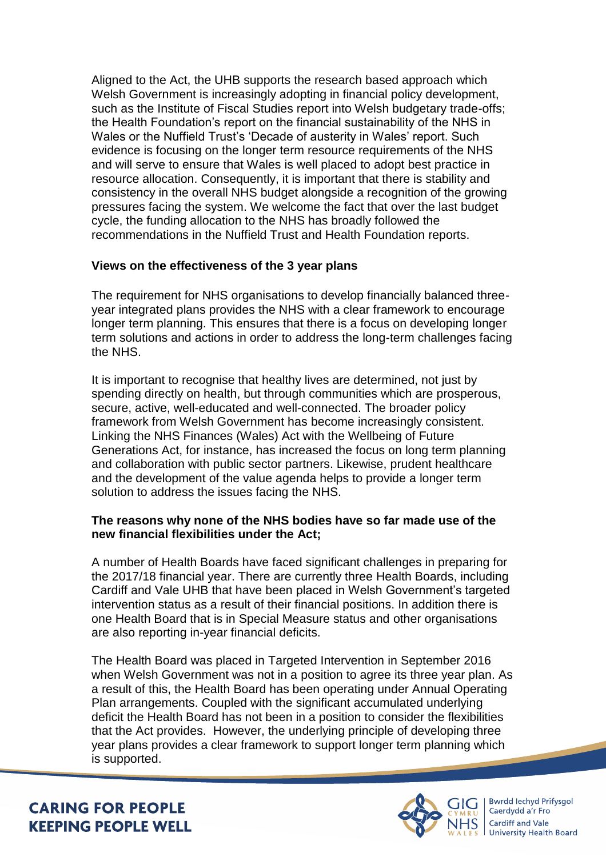Aligned to the Act, the UHB supports the research based approach which Welsh Government is increasingly adopting in financial policy development, such as the Institute of Fiscal Studies report into Welsh budgetary trade-offs; the Health Foundation's report on the financial sustainability of the NHS in Wales or the Nuffield Trust's 'Decade of austerity in Wales' report. Such evidence is focusing on the longer term resource requirements of the NHS and will serve to ensure that Wales is well placed to adopt best practice in resource allocation. Consequently, it is important that there is stability and consistency in the overall NHS budget alongside a recognition of the growing pressures facing the system. We welcome the fact that over the last budget cycle, the funding allocation to the NHS has broadly followed the recommendations in the Nuffield Trust and Health Foundation reports.

# **Views on the effectiveness of the 3 year plans**

The requirement for NHS organisations to develop financially balanced threeyear integrated plans provides the NHS with a clear framework to encourage longer term planning. This ensures that there is a focus on developing longer term solutions and actions in order to address the long-term challenges facing the NHS.

It is important to recognise that healthy lives are determined, not just by spending directly on health, but through communities which are prosperous, secure, active, well-educated and well-connected. The broader policy framework from Welsh Government has become increasingly consistent. Linking the NHS Finances (Wales) Act with the Wellbeing of Future Generations Act, for instance, has increased the focus on long term planning and collaboration with public sector partners. Likewise, prudent healthcare and the development of the value agenda helps to provide a longer term solution to address the issues facing the NHS.

## **The reasons why none of the NHS bodies have so far made use of the new financial flexibilities under the Act;**

A number of Health Boards have faced significant challenges in preparing for the 2017/18 financial year. There are currently three Health Boards, including Cardiff and Vale UHB that have been placed in Welsh Government's targeted intervention status as a result of their financial positions. In addition there is one Health Board that is in Special Measure status and other organisations are also reporting in-year financial deficits.

The Health Board was placed in Targeted Intervention in September 2016 when Welsh Government was not in a position to agree its three year plan. As a result of this, the Health Board has been operating under Annual Operating Plan arrangements. Coupled with the significant accumulated underlying deficit the Health Board has not been in a position to consider the flexibilities that the Act provides. However, the underlying principle of developing three year plans provides a clear framework to support longer term planning which is supported.

**CARING FOR PEOPLE KEEPING PEOPLE WELL** 



Bwrdd Iechyd Prifysgol Caerdydd a'r Fro Cardiff and Vale **University Health Board**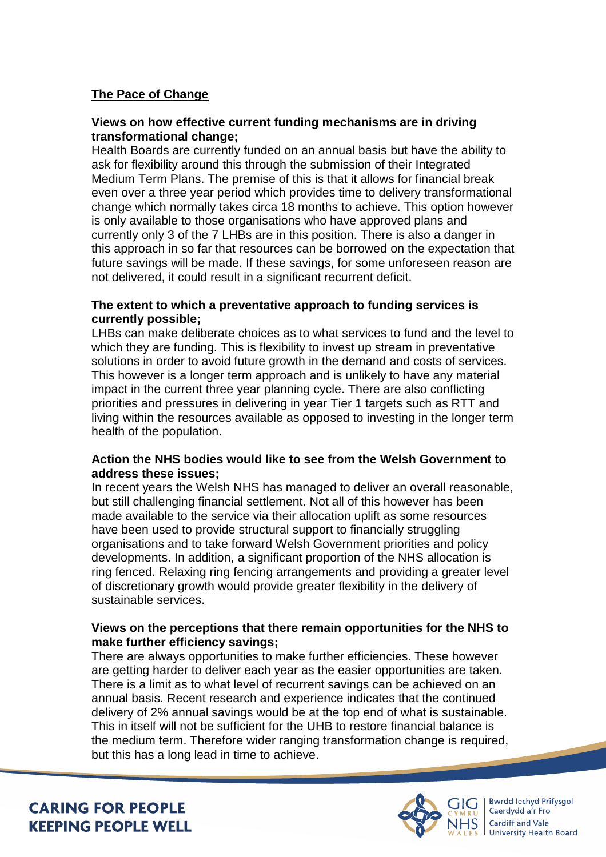# **The Pace of Change**

## **Views on how effective current funding mechanisms are in driving transformational change;**

Health Boards are currently funded on an annual basis but have the ability to ask for flexibility around this through the submission of their Integrated Medium Term Plans. The premise of this is that it allows for financial break even over a three year period which provides time to delivery transformational change which normally takes circa 18 months to achieve. This option however is only available to those organisations who have approved plans and currently only 3 of the 7 LHBs are in this position. There is also a danger in this approach in so far that resources can be borrowed on the expectation that future savings will be made. If these savings, for some unforeseen reason are not delivered, it could result in a significant recurrent deficit.

#### **The extent to which a preventative approach to funding services is currently possible;**

LHBs can make deliberate choices as to what services to fund and the level to which they are funding. This is flexibility to invest up stream in preventative solutions in order to avoid future growth in the demand and costs of services. This however is a longer term approach and is unlikely to have any material impact in the current three year planning cycle. There are also conflicting priorities and pressures in delivering in year Tier 1 targets such as RTT and living within the resources available as opposed to investing in the longer term health of the population.

## **Action the NHS bodies would like to see from the Welsh Government to address these issues;**

In recent years the Welsh NHS has managed to deliver an overall reasonable, but still challenging financial settlement. Not all of this however has been made available to the service via their allocation uplift as some resources have been used to provide structural support to financially struggling organisations and to take forward Welsh Government priorities and policy developments. In addition, a significant proportion of the NHS allocation is ring fenced. Relaxing ring fencing arrangements and providing a greater level of discretionary growth would provide greater flexibility in the delivery of sustainable services.

## **Views on the perceptions that there remain opportunities for the NHS to make further efficiency savings;**

There are always opportunities to make further efficiencies. These however are getting harder to deliver each year as the easier opportunities are taken. There is a limit as to what level of recurrent savings can be achieved on an annual basis. Recent research and experience indicates that the continued delivery of 2% annual savings would be at the top end of what is sustainable. This in itself will not be sufficient for the UHB to restore financial balance is the medium term. Therefore wider ranging transformation change is required, but this has a long lead in time to achieve.

# **CARING FOR PEOPLE KEEPING PEOPLE WELL**



Bwrdd Iechyd Prifysgol Caerdydd a'r Fro Cardiff and Vale **University Health Board**